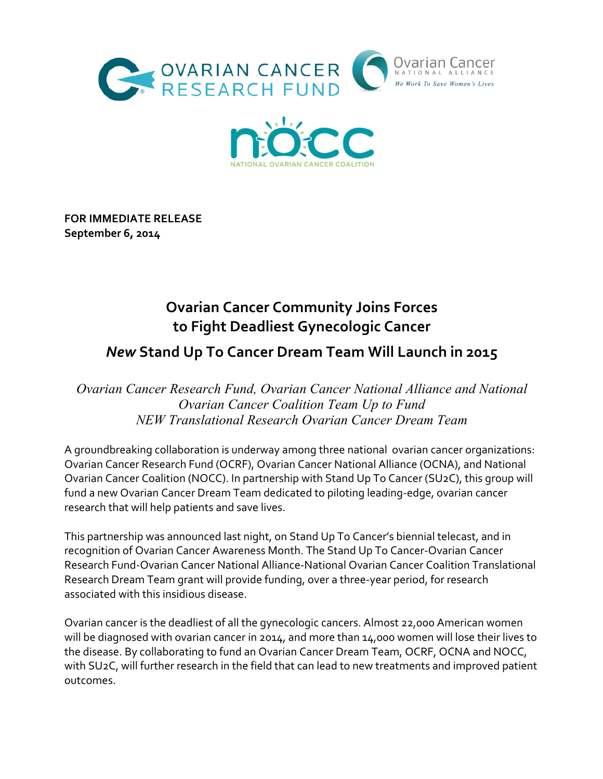



**FOR IMMEDIATE RELEASE September 6, 2014**

# **Ovarian Cancer Community Joins Forces to Fight Deadliest Gynecologic Cancer**

# *New* **Stand Up To Cancer Dream Team Will Launch in 2015**

*Ovarian Cancer Research Fund, Ovarian Cancer National Alliance and National Ovarian Cancer Coalition Team Up to Fund NEW Translational Research Ovarian Cancer Dream Team*

A groundbreaking collaboration is underway among three national ovarian cancer organizations: Ovarian Cancer Research Fund (OCRF), Ovarian Cancer National Alliance (OCNA), and National Ovarian Cancer Coalition (NOCC). In partnership with Stand Up To Cancer (SU2C), this group will fund a new Ovarian Cancer Dream Team dedicated to piloting leading-edge, ovarian cancer research that will help patients and save lives.

This partnership was announced last night, on Stand Up To Cancer's biennial telecast, and in recognition of Ovarian Cancer Awareness Month. The Stand Up To Cancer-Ovarian Cancer Research Fund-Ovarian Cancer National Alliance-National Ovarian Cancer Coalition Translational Research Dream Team grant will provide funding, over a three-year period, for research associated with this insidious disease.

Ovarian cancer is the deadliest of all the gynecologic cancers. Almost 22,000 American women will be diagnosed with ovarian cancer in 2014, and more than 14,000 women will lose their lives to the disease. By collaborating to fund an Ovarian Cancer Dream Team, OCRF, OCNA and NOCC, with SU2C, will further research in the field that can lead to new treatments and improved patient outcomes.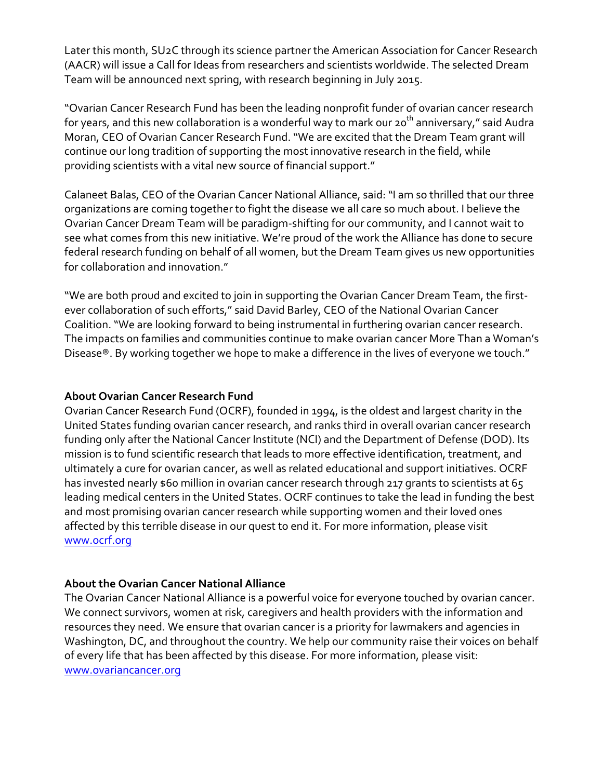Later this month, SU2C through its science partner the American Association for Cancer Research (AACR) will issue a Call for Ideas from researchers and scientists worldwide. The selected Dream Team will be announced next spring, with research beginning in July 2015.

"Ovarian Cancer Research Fund has been the leading nonprofit funder of ovarian cancer research for years, and this new collaboration is a wonderful way to mark our 20<sup>th</sup> anniversary," said Audra Moran, CEO of Ovarian Cancer Research Fund. "We are excited that the Dream Team grant will continue our long tradition of supporting the most innovative research in the field, while providing scientists with a vital new source of financial support."

Calaneet Balas, CEO of the Ovarian Cancer National Alliance, said: "I am so thrilled that our three organizations are coming together to fight the disease we all care so much about. I believe the Ovarian Cancer Dream Team will be paradigm-shifting for our community, and I cannot wait to see what comes from this new initiative. We're proud of the work the Alliance has done to secure federal research funding on behalf of all women, but the Dream Team gives us new opportunities for collaboration and innovation."

"We are both proud and excited to join in supporting the Ovarian Cancer Dream Team, the firstever collaboration of such efforts," said David Barley, CEO of the National Ovarian Cancer Coalition. "We are looking forward to being instrumental in furthering ovarian cancer research. The impacts on families and communities continue to make ovarian cancer More Than a Woman's Disease®. By working together we hope to make a difference in the lives of everyone we touch."

#### **About Ovarian Cancer Research Fund**

Ovarian Cancer Research Fund (OCRF), founded in 1994, is the oldest and largest charity in the United States funding ovarian cancer research, and ranks third in overall ovarian cancer research funding only after the National Cancer Institute (NCI) and the Department of Defense (DOD). Its mission is to fund scientific research that leads to more effective identification, treatment, and ultimately a cure for ovarian cancer, as well as related educational and support initiatives. OCRF has invested nearly \$60 million in ovarian cancer research through 217 grants to scientists at 65 leading medical centers in the United States. OCRF continues to take the lead in funding the best and most promising ovarian cancer research while supporting women and their loved ones affected by this terrible disease in our quest to end it. For more information, please visit www.ocrf.org

#### **About the Ovarian Cancer National Alliance**

The Ovarian Cancer National Alliance is a powerful voice for everyone touched by ovarian cancer. We connect survivors, women at risk, caregivers and health providers with the information and resources they need. We ensure that ovarian cancer is a priority for lawmakers and agencies in Washington, DC, and throughout the country. We help our community raise their voices on behalf of every life that has been affected by this disease. For more information, please visit: www.ovariancancer.org